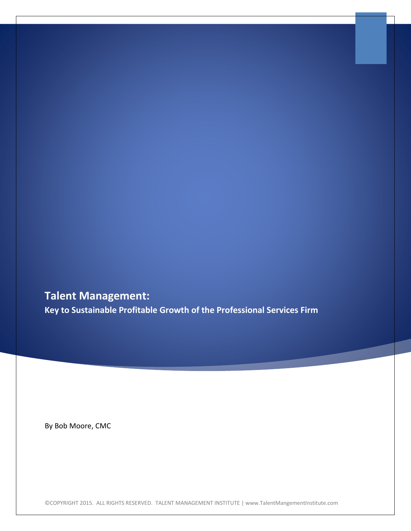**Talent Management: Key to Sustainable Profitable Growth of the Professional Services Firm**

By Bob Moore, CMC

©COPYRIGHT 2015. ALL RIGHTS RESERVED. TALENT MANAGEMENT INSTITUTE | www.TalentMangementInstitute.com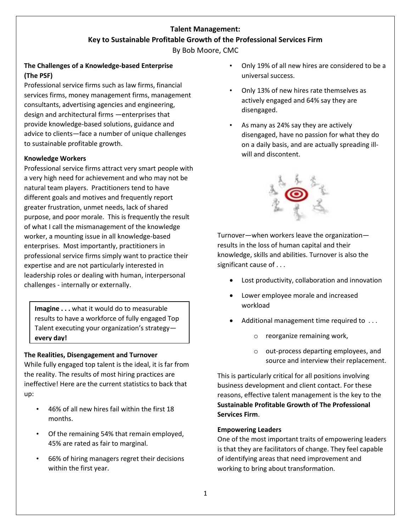# **Talent Management: Key to Sustainable Profitable Growth of the Professional Services Firm**

By Bob Moore, CMC

# **The Challenges of a Knowledge-based Enterprise (The PSF)**

Professional service firms such as law firms, financial services firms, money management firms, management consultants, advertising agencies and engineering, design and architectural firms —enterprises that provide knowledge-based solutions, guidance and advice to clients—face a number of unique challenges to sustainable profitable growth.

# **Knowledge Workers**

Professional service firms attract very smart people with a very high need for achievement and who may not be natural team players. Practitioners tend to have different goals and motives and frequently report greater frustration, unmet needs, lack of shared purpose, and poor morale. This is frequently the result of what I call the mismanagement of the knowledge worker, a mounting issue in all knowledge-based enterprises. Most importantly, practitioners in professional service firms simply want to practice their expertise and are not particularly interested in leadership roles or dealing with human, interpersonal challenges - internally or externally.

**Imagine . . .** what it would do to measurable results to have a workforce of fully engaged Top Talent executing your organization's strategy **every day!**

### **The Realities, Disengagement and Turnover**

While fully engaged top talent is the ideal, it is far from the reality. The results of most hiring practices are ineffective! Here are the current statistics to back that up:

- 46% of all new hires fail within the first 18 months.
- Of the remaining 54% that remain employed, 45% are rated as fair to marginal.
- 66% of hiring managers regret their decisions within the first year.
- Only 19% of all new hires are considered to be a universal success.
- Only 13% of new hires rate themselves as actively engaged and 64% say they are disengaged.
- As many as 24% say they are actively disengaged, have no passion for what they do on a daily basis, and are actually spreading illwill and discontent.



Turnover—when workers leave the organization results in the loss of human capital and their knowledge, skills and abilities. Turnover is also the significant cause of . . .

- Lost productivity, collaboration and innovation
- Lower employee morale and increased workload
- Additional management time required to ...
	- o reorganize remaining work,
	- o out-process departing employees, and source and interview their replacement.

This is particularly critical for all positions involving business development and client contact. For these reasons, effective talent management is the key to the **Sustainable Profitable Growth of The Professional Services Firm**.

# **Empowering Leaders**

One of the most important traits of empowering leaders is that they are facilitators of change. They feel capable of identifying areas that need improvement and working to bring about transformation.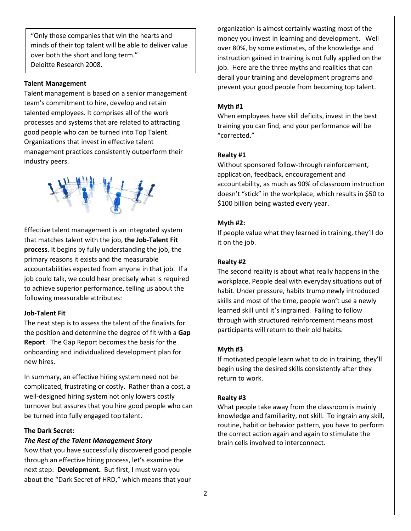"Only those companies that win the hearts and minds of their top talent will be able to deliver value over both the short and long term." Deloitte Research 2008.

#### **Talent Management**

Talent management is based on a senior management team's commitment to hire, develop and retain talented employees. It comprises all of the work processes and systems that are related to attracting good people who can be turned into Top Talent. Organizations that invest in effective talent management practices consistently outperform their industry peers.



Effective talent management is an integrated system that matches talent with the job, **the Job-Talent Fit process**. It begins by fully understanding the job, the primary reasons it exists and the measurable accountabilities expected from anyone in that job. If a job could talk, we could hear precisely what is required to achieve superior performance, telling us about the following measurable attributes:

#### **Job-Talent Fit**

The next step is to assess the talent of the finalists for the position and determine the degree of fit with a **Gap Report**. The Gap Report becomes the basis for the onboarding and individualized development plan for new hires.

In summary, an effective hiring system need not be complicated, frustrating or costly. Rather than a cost, a well-designed hiring system not only lowers costly turnover but assures that you hire good people who can be turned into fully engaged top talent.

### **The Dark Secret:**

#### *The Rest of the Talent Management Story*

Now that you have successfully discovered good people through an effective hiring process, let's examine the next step: **Development.** But first, I must warn you about the "Dark Secret of HRD," which means that your

organization is almost certainly wasting most of the money you invest in learning and development. Well over 80%, by some estimates, of the knowledge and instruction gained in training is not fully applied on the job. Here are the three myths and realities that can derail your training and development programs and prevent your good people from becoming top talent.

#### **Myth #1**

When employees have skill deficits, invest in the best training you can find, and your performance will be "corrected."

#### **Realty #1**

Without sponsored follow-through reinforcement, application, feedback, encouragement and accountability, as much as 90% of classroom instruction doesn't "stick" in the workplace, which results in \$50 to \$100 billion being wasted every year.

#### **Myth #2:**

If people value what they learned in training, they'll do it on the job.

#### **Realty #2**

The second reality is about what really happens in the workplace. People deal with everyday situations out of habit. Under pressure, habits trump newly introduced skills and most of the time, people won't use a newly learned skill until it's ingrained. Failing to follow through with structured reinforcement means most participants will return to their old habits.

#### **Myth #3**

If motivated people learn what to do in training, they'll begin using the desired skills consistently after they return to work.

#### **Realty #3**

What people take away from the classroom is mainly knowledge and familiarity, not skill. To ingrain any skill, routine, habit or behavior pattern, you have to perform the correct action again and again to stimulate the brain cells involved to interconnect.